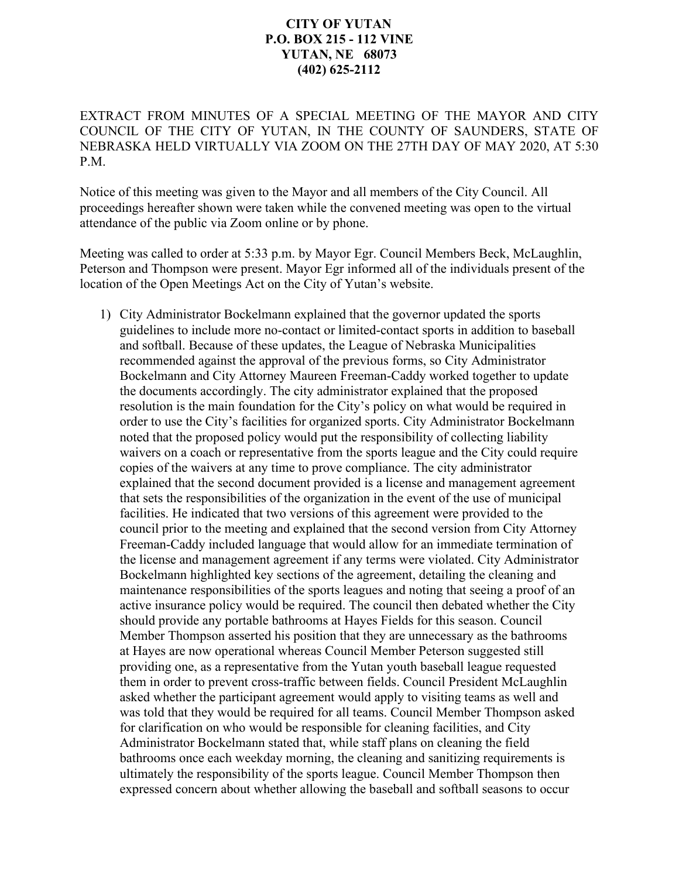## **CITY OF YUTAN P.O. BOX 215 - 112 VINE YUTAN, NE 68073 (402) 625-2112**

EXTRACT FROM MINUTES OF A SPECIAL MEETING OF THE MAYOR AND CITY COUNCIL OF THE CITY OF YUTAN, IN THE COUNTY OF SAUNDERS, STATE OF NEBRASKA HELD VIRTUALLY VIA ZOOM ON THE 27TH DAY OF MAY 2020, AT 5:30 P.M.

Notice of this meeting was given to the Mayor and all members of the City Council. All proceedings hereafter shown were taken while the convened meeting was open to the virtual attendance of the public via Zoom online or by phone.

Meeting was called to order at 5:33 p.m. by Mayor Egr. Council Members Beck, McLaughlin, Peterson and Thompson were present. Mayor Egr informed all of the individuals present of the location of the Open Meetings Act on the City of Yutan's website.

1) City Administrator Bockelmann explained that the governor updated the sports guidelines to include more no-contact or limited-contact sports in addition to baseball and softball. Because of these updates, the League of Nebraska Municipalities recommended against the approval of the previous forms, so City Administrator Bockelmann and City Attorney Maureen Freeman-Caddy worked together to update the documents accordingly. The city administrator explained that the proposed resolution is the main foundation for the City's policy on what would be required in order to use the City's facilities for organized sports. City Administrator Bockelmann noted that the proposed policy would put the responsibility of collecting liability waivers on a coach or representative from the sports league and the City could require copies of the waivers at any time to prove compliance. The city administrator explained that the second document provided is a license and management agreement that sets the responsibilities of the organization in the event of the use of municipal facilities. He indicated that two versions of this agreement were provided to the council prior to the meeting and explained that the second version from City Attorney Freeman-Caddy included language that would allow for an immediate termination of the license and management agreement if any terms were violated. City Administrator Bockelmann highlighted key sections of the agreement, detailing the cleaning and maintenance responsibilities of the sports leagues and noting that seeing a proof of an active insurance policy would be required. The council then debated whether the City should provide any portable bathrooms at Hayes Fields for this season. Council Member Thompson asserted his position that they are unnecessary as the bathrooms at Hayes are now operational whereas Council Member Peterson suggested still providing one, as a representative from the Yutan youth baseball league requested them in order to prevent cross-traffic between fields. Council President McLaughlin asked whether the participant agreement would apply to visiting teams as well and was told that they would be required for all teams. Council Member Thompson asked for clarification on who would be responsible for cleaning facilities, and City Administrator Bockelmann stated that, while staff plans on cleaning the field bathrooms once each weekday morning, the cleaning and sanitizing requirements is ultimately the responsibility of the sports league. Council Member Thompson then expressed concern about whether allowing the baseball and softball seasons to occur